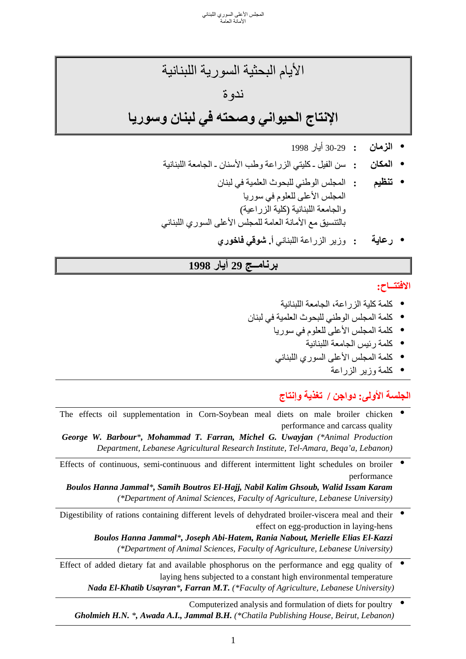الأيام البحثية السورية اللبنانية ندوة **الإنتاج الحيواني وصحته في لبنان وسوريا**

- **الزمان :** 30-29 أيار 1998
- **المكان :** سن الفيل ـ آليتي الزراعة وطب الأسنان ـ الجامعة اللبنانية
- المجلس الأعلى للعلوم في سوريا **تنظيم :** المجلس الوطني للبحوث العلمية في لبنان والجامعة اللبنانية (كلية الزراعية) بالتنسيق مع الأمانة العامة للمجلس الأعلى السوري اللبناني
	- **رعاية :** وزير الزراعة اللبناني **أ. شوقي فاخوري**

# **برنامــج 29 أيار 1998**

#### **الافتتــاح:**

- 
- كلمة كلية الزراعة، الجامعة اللبنانية<br>• كلمة المجلس الوطني للبحوث العلمية في لبنان<br>• كلمة المجلس الأعلى للعلوم في سوريا<br>• كلمة رئيس الجامعة اللبنانية<br>• كلمة المجلس الأعلى السوري اللبناني<br>• كلمة وزير الزراعة
	- -
	- -

## **الجلسة الأولى: دواجن / تغذية وإنتاج**

The effects oil supplementation in Corn-Soybean meal diets on male broiler chicken  $\bullet$  performance and carcass quality  *George W. Barbour\*, Mohammad T. Farran, Michel G. Uwayjan (\*Animal Production* 

*Department, Lebanese Agricultural Research Institute, Tel-Amara, Beqa'a, Lebanon)*

Effects of continuous, semi-continuous and different intermittent light schedules on broiler  $\bullet$ performance

*Boulos Hanna Jammal\*, Samih Boutros El-Hajj, Nabil Kalim Ghsoub, Walid Issam Karam*  *(\*Department of Animal Sciences, Faculty of Agriculture, Lebanese University)*

- Digestibility of rations containing different levels of dehydrated broiler-viscera meal and their • effect on egg-production in laying-hens  *Boulos Hanna Jammal\*, Joseph Abi-Hatem, Rania Nabout, Merielle Elias El-Kazzi*  *(\*Department of Animal Sciences, Faculty of Agriculture, Lebanese University)*
- Effect of added dietary fat and available phosphorus on the performance and egg quality of  $\bullet$  laying hens subjected to a constant high environmental temperature *Nada El-Khatib Usayran\*, Farran M.T. (\*Faculty of Agriculture, Lebanese University)*

 Computerized analysis and formulation of diets for poultry •*Gholmieh H.N. \*, Awada A.I., Jammal B.H. (\*Chatila Publishing House, Beirut, Lebanon)*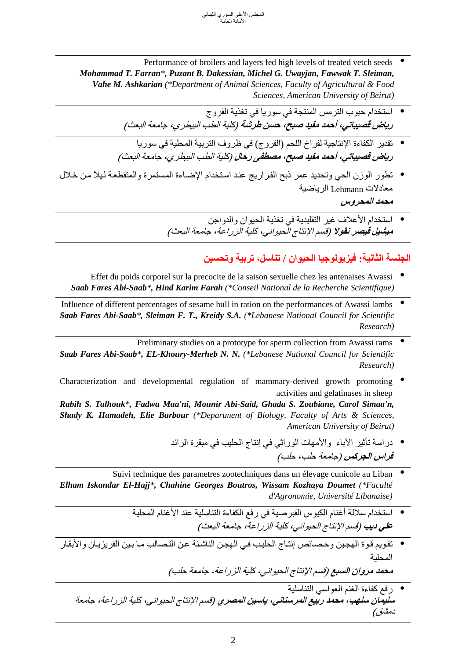- Performance of broilers and layers fed high levels of treated vetch seeds *Mohammad T. Farran\*, Puzant B. Dakessian, Michel G. Uwayjan, Fawwak T. Sleiman, Vahe M. Ashkarian (\*Department of Animal Sciences, Faculty of Agricultural & Food*  *Sciences, American University of Beirut)*
	- **رياض قصيباتي، أحمد مفيد صبح، حسن طرشة** (آلية الطب البيطري، جامعة البعث) استخدام حبوب الترمس المنتجة في سوريا في تغذية الفروج
	- **رياض قصيباتي، أحمد مفيد صبح، مصطفى رحال** (آلية الطب البيطري، جامعة البعث) تقدير الكفاءة الإنتاجية لفراخ اللحم (الفروج) في ظروف التربية المحلية في سوريا
- تطور الوزن الحي وتحديد عمر ذبح الفراريج عند استخدام الإضـاءة المستمرة والمتقطعـة لـيلاً من خـلال<br>معادلات Lehmann الرياضية **محمد المحروس**
	- **•** استخدام الأعلاف غير التقليدية في تغذية الحيوان والدواجن<br>م*يشيل قيصر نقولا (قسم الإنتاج الحيواني، كلية الزراعة، جا<i>معة البعث)*

#### **الجلسة الثانية: فيزيولوجيا الحيوان / تناسل، تربية وتحسين**

- Effet du poids corporel sur la precocite de la saison sexuelle chez les antenaises Awassi  $\bullet$ *Saab Fares Abi-Saab\*, Hind Karim Farah (\*Conseil National de la Recherche Scientifique)*
- Influence of different percentages of sesame hull in ration on the performances of Awassi lambs *Saab Fares Abi-Saab\*, Sleiman F. T., Kreidy S.A. (\*Lebanese National Council for Scientific*  *Research)*
- Preliminary studies on a prototype for sperm collection from Awassi rams  $\bullet$ *Saab Fares Abi-Saab\*, EL-Khoury-Merheb N. N. (\*Lebanese National Council for Scientific*  *Research)*
- Characterization and developmental regulation of mammary-derived growth promoting • activities and gelatinases in sheep *Rabih S. Talhouk\*, Fadwa Maa'ni, Mounir Abi-Said, Ghada S. Zoubiane, Carol Simaa'n, Shady K. Hamadeh, Elie Barbour (\*Department of Biology, Faculty of Arts & Sciences,*  *American University of Beirut)*
	- دراسة تأثير الآباء والأمهات الوراثي في إنتاج الحليب في مبقرة الرائد<br>*فراس الجركس (جامعة حلب، حلب)*
- Suivi technique des parametres zootechniques dans un élevage cunicole au Liban  $\bullet$ *Elham Iskandar El-Hajj\*, Chahine Georges Boutros, Wissam Kozhaya Doumet (\*Faculté*  *d'Agronomie, Université Libanaise)*
	- استخدام سلالة أغنام الكيوس القبرصية في رفع الكفاءة التناسلية عند الأغنام المحلية<br>*علي ديب (قسم الإنتاج الحيو اني، كلية الز ر اعة، جا<i>معة البعث)*
- تقويم قوة الهجين وخصائص إنتـاج الحليب في الهجن الناشئة عن التصالب مـا بـين الفريزيـان والأبقـار<br>المحلية

**محمد مروان السبع** (قسم الإنتاج الحيواني، آلية الزراعة، جامعة حلب)

• رفع آفاءة الغنم العواسي التناسلية **سليمان سلهب، محمد ربيع المرستاني، ياسين المصري** (قسم الإنتاج الحيواني، آلية الزراعة، جامعة دمشق)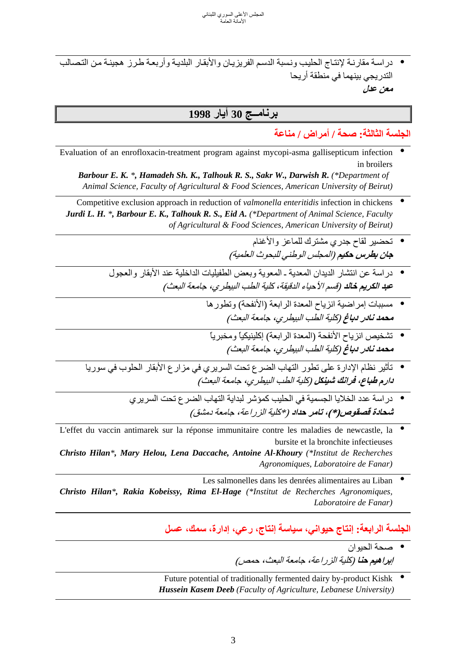• دراسة مقارنـة لإنتـاج الحليب ونسبة الدسم الفريزيـان والأبقـار البلديـة وأربعـة طـرز هجينـة مـن التـصـالب<br>التدريجي بينهما في منطقة أريحا **معن عدل** 

# **برنامــج 30 أيار 1998**

**الجلسة الثالثة: صحة / أمراض / مناعة** 

Evaluation of an enrofloxacin-treatment program against mycopi-asma gallisepticum infection •in broilers

*Barbour E. K. \*, Hamadeh Sh. K., Talhouk R. S., Sakr W., Darwish R. (\*Department of*  *Animal Science, Faculty of Agricultural & Food Sciences, American University of Beirut)*

 Competitive exclusion approach in reduction of *valmonella enteritidis* infection in chickens • *Jurdi L. H. \*, Barbour E. K., Talhouk R. S., Eid A. (\*Department of Animal Science, Faculty*  *of Agricultural & Food Sciences, American University of Beirut)*

- تحضير لقاح جدري مشترك للماعز والأغنام<br>**ج***ان بطرس حكيم (المجلس الوطني للبحوث العلمية)*
- در اسة عن انتشار الديدان المعدية ـ المعوية وبعض الطفيليات الداخلية عند الأبقار والعجول<br>ع*بد الكريم خالد (قسم الأحياء الدقيقة، كل<i>ية الطب البيطري، جامعة البعث)* 
	- **محمد نادر دباغ** (آلية الطب البيطري، جامعة البعث) مسببات إمراضية انزياح المعدة الرابعة (الأنفحة) وتطورها
	- نشخيص انزياح الأنفحة (المعدة الرابعة) إكلينيكياً ومخبرياً<br>مح*مد نادر دباغ (كلية الطب البيطري، جامعة <i>البعث)*
- **دارم طباع، فرانك شينكل** (آلية الطب البيطري، جامعة البعث) تأثير نظام الإدارة على تطور التهاب الضرع تحت السريري في مزارع الأبقار الحلوب في سوريا
	- در اسة عدد الخلايا الجسمية في الحليب كمؤشر لبداية التهاب الضر ع تحت السريري<br>*شحادة قصقوص(\*)، تامر حداد (\*كلية الز ر اعة، جامعة دمشق)*
- L'effet du vaccin antimarek sur la réponse immunitaire contre les maladies de newcastle, la  $\bullet$  bursite et la bronchite infectieuses *Christo Hilan\*, Mary Helou, Lena Daccache, Antoine Al-Khoury (\*Institut de Recherches*  *Agronomiques, Laboratoire de Fanar)*
- Les salmonelles dans les denrées alimentaires au Liban *Christo Hilan\*, Rakia Kobeissy, Rima El-Hage (\*Institut de Recherches Agronomiques,*  *Laboratoire de Fanar)*

## **الجلسة الرابعة: إنتاج حيواني، سياسة إنتاج، رعي، إدارة، سمك، عسل**

- صحة الحيوان<br>*إبراهيم حنا (كلية الزراعة، جامعة البعث، حمص)*
- Future potential of traditionally fermented dairy by-product Kishk  $\bullet$ *Hussein Kasem Deeb (Faculty of Agriculture, Lebanese University)*